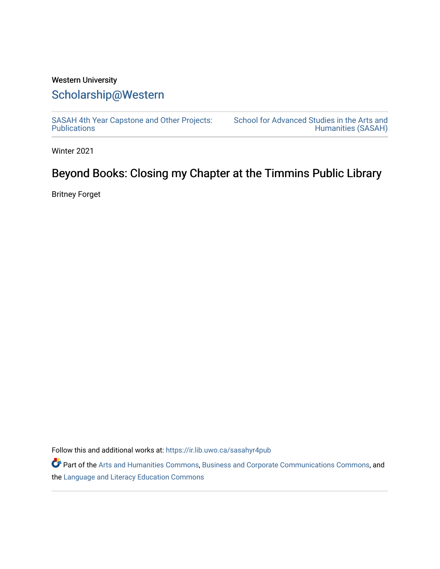## Western University [Scholarship@Western](https://ir.lib.uwo.ca/)

[SASAH 4th Year Capstone and Other Projects:](https://ir.lib.uwo.ca/sasahyr4pub)  **Publications** 

[School for Advanced Studies in the Arts and](https://ir.lib.uwo.ca/sasah)  [Humanities \(SASAH\)](https://ir.lib.uwo.ca/sasah) 

Winter 2021

# Beyond Books: Closing my Chapter at the Timmins Public Library

Britney Forget

Follow this and additional works at: [https://ir.lib.uwo.ca/sasahyr4pub](https://ir.lib.uwo.ca/sasahyr4pub?utm_source=ir.lib.uwo.ca%2Fsasahyr4pub%2F36&utm_medium=PDF&utm_campaign=PDFCoverPages) 

Part of the [Arts and Humanities Commons,](http://network.bepress.com/hgg/discipline/438?utm_source=ir.lib.uwo.ca%2Fsasahyr4pub%2F36&utm_medium=PDF&utm_campaign=PDFCoverPages) [Business and Corporate Communications Commons](http://network.bepress.com/hgg/discipline/627?utm_source=ir.lib.uwo.ca%2Fsasahyr4pub%2F36&utm_medium=PDF&utm_campaign=PDFCoverPages), and the [Language and Literacy Education Commons](http://network.bepress.com/hgg/discipline/1380?utm_source=ir.lib.uwo.ca%2Fsasahyr4pub%2F36&utm_medium=PDF&utm_campaign=PDFCoverPages)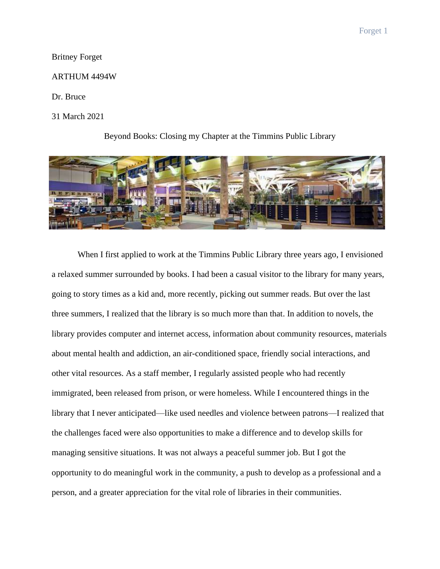Britney Forget

#### ARTHUM 4494W

#### Dr. Bruce

### 31 March 2021

### Beyond Books: Closing my Chapter at the Timmins Public Library



When I first applied to work at the Timmins Public Library three years ago, I envisioned a relaxed summer surrounded by books. I had been a casual visitor to the library for many years, going to story times as a kid and, more recently, picking out summer reads. But over the last three summers, I realized that the library is so much more than that. In addition to novels, the library provides computer and internet access, information about community resources, materials about mental health and addiction, an air-conditioned space, friendly social interactions, and other vital resources. As a staff member, I regularly assisted people who had recently immigrated, been released from prison, or were homeless. While I encountered things in the library that I never anticipated—like used needles and violence between patrons—I realized that the challenges faced were also opportunities to make a difference and to develop skills for managing sensitive situations. It was not always a peaceful summer job. But I got the opportunity to do meaningful work in the community, a push to develop as a professional and a person, and a greater appreciation for the vital role of libraries in their communities.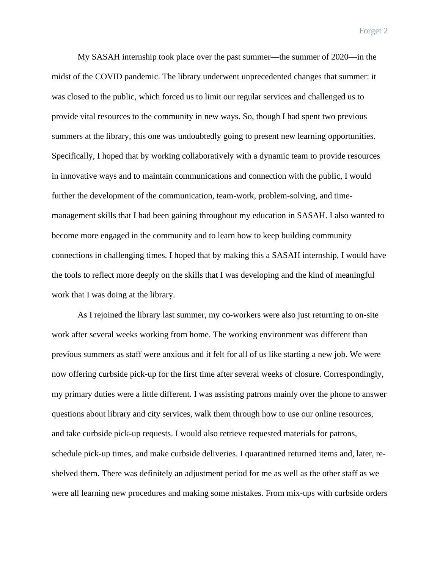My SASAH internship took place over the past summer—the summer of 2020—in the midst of the COVID pandemic. The library underwent unprecedented changes that summer: it was closed to the public, which forced us to limit our regular services and challenged us to provide vital resources to the community in new ways. So, though I had spent two previous summers at the library, this one was undoubtedly going to present new learning opportunities. Specifically, I hoped that by working collaboratively with a dynamic team to provide resources in innovative ways and to maintain communications and connection with the public, I would further the development of the communication, team-work, problem-solving, and timemanagement skills that I had been gaining throughout my education in SASAH. I also wanted to become more engaged in the community and to learn how to keep building community connections in challenging times. I hoped that by making this a SASAH internship, I would have the tools to reflect more deeply on the skills that I was developing and the kind of meaningful work that I was doing at the library.

As I rejoined the library last summer, my co-workers were also just returning to on-site work after several weeks working from home. The working environment was different than previous summers as staff were anxious and it felt for all of us like starting a new job. We were now offering curbside pick-up for the first time after several weeks of closure. Correspondingly, my primary duties were a little different. I was assisting patrons mainly over the phone to answer questions about library and city services, walk them through how to use our online resources, and take curbside pick-up requests. I would also retrieve requested materials for patrons, schedule pick-up times, and make curbside deliveries. I quarantined returned items and, later, reshelved them. There was definitely an adjustment period for me as well as the other staff as we were all learning new procedures and making some mistakes. From mix-ups with curbside orders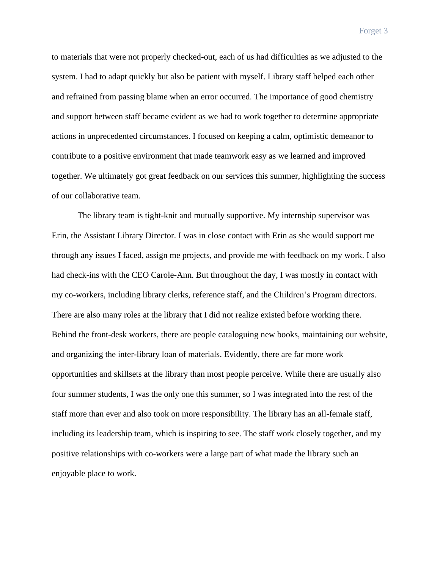to materials that were not properly checked-out, each of us had difficulties as we adjusted to the system. I had to adapt quickly but also be patient with myself. Library staff helped each other and refrained from passing blame when an error occurred. The importance of good chemistry and support between staff became evident as we had to work together to determine appropriate actions in unprecedented circumstances. I focused on keeping a calm, optimistic demeanor to contribute to a positive environment that made teamwork easy as we learned and improved together. We ultimately got great feedback on our services this summer, highlighting the success of our collaborative team.

The library team is tight-knit and mutually supportive. My internship supervisor was Erin, the Assistant Library Director. I was in close contact with Erin as she would support me through any issues I faced, assign me projects, and provide me with feedback on my work. I also had check-ins with the CEO Carole-Ann. But throughout the day, I was mostly in contact with my co-workers, including library clerks, reference staff, and the Children's Program directors. There are also many roles at the library that I did not realize existed before working there. Behind the front-desk workers, there are people cataloguing new books, maintaining our website, and organizing the inter-library loan of materials. Evidently, there are far more work opportunities and skillsets at the library than most people perceive. While there are usually also four summer students, I was the only one this summer, so I was integrated into the rest of the staff more than ever and also took on more responsibility. The library has an all-female staff, including its leadership team, which is inspiring to see. The staff work closely together, and my positive relationships with co-workers were a large part of what made the library such an enjoyable place to work.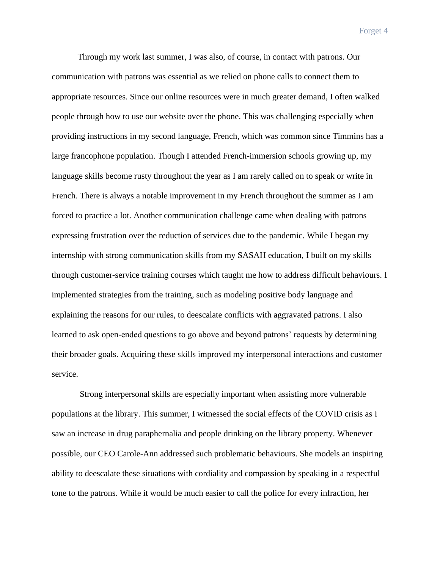Through my work last summer, I was also, of course, in contact with patrons. Our communication with patrons was essential as we relied on phone calls to connect them to appropriate resources. Since our online resources were in much greater demand, I often walked people through how to use our website over the phone. This was challenging especially when providing instructions in my second language, French, which was common since Timmins has a large francophone population. Though I attended French-immersion schools growing up, my language skills become rusty throughout the year as I am rarely called on to speak or write in French. There is always a notable improvement in my French throughout the summer as I am forced to practice a lot. Another communication challenge came when dealing with patrons expressing frustration over the reduction of services due to the pandemic. While I began my internship with strong communication skills from my SASAH education, I built on my skills through customer-service training courses which taught me how to address difficult behaviours. I implemented strategies from the training, such as modeling positive body language and explaining the reasons for our rules, to deescalate conflicts with aggravated patrons. I also learned to ask open-ended questions to go above and beyond patrons' requests by determining their broader goals. Acquiring these skills improved my interpersonal interactions and customer service.

Strong interpersonal skills are especially important when assisting more vulnerable populations at the library. This summer, I witnessed the social effects of the COVID crisis as I saw an increase in drug paraphernalia and people drinking on the library property. Whenever possible, our CEO Carole-Ann addressed such problematic behaviours. She models an inspiring ability to deescalate these situations with cordiality and compassion by speaking in a respectful tone to the patrons. While it would be much easier to call the police for every infraction, her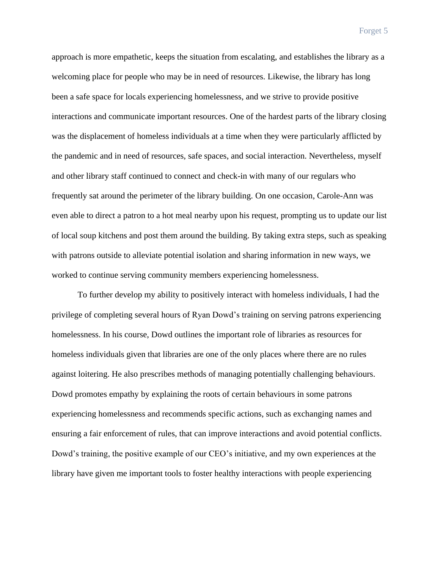approach is more empathetic, keeps the situation from escalating, and establishes the library as a welcoming place for people who may be in need of resources. Likewise, the library has long been a safe space for locals experiencing homelessness, and we strive to provide positive interactions and communicate important resources. One of the hardest parts of the library closing was the displacement of homeless individuals at a time when they were particularly afflicted by the pandemic and in need of resources, safe spaces, and social interaction. Nevertheless, myself and other library staff continued to connect and check-in with many of our regulars who frequently sat around the perimeter of the library building. On one occasion, Carole-Ann was even able to direct a patron to a hot meal nearby upon his request, prompting us to update our list of local soup kitchens and post them around the building. By taking extra steps, such as speaking with patrons outside to alleviate potential isolation and sharing information in new ways, we worked to continue serving community members experiencing homelessness.

To further develop my ability to positively interact with homeless individuals, I had the privilege of completing several hours of Ryan Dowd's training on serving patrons experiencing homelessness. In his course, Dowd outlines the important role of libraries as resources for homeless individuals given that libraries are one of the only places where there are no rules against loitering. He also prescribes methods of managing potentially challenging behaviours. Dowd promotes empathy by explaining the roots of certain behaviours in some patrons experiencing homelessness and recommends specific actions, such as exchanging names and ensuring a fair enforcement of rules, that can improve interactions and avoid potential conflicts. Dowd's training, the positive example of our CEO's initiative, and my own experiences at the library have given me important tools to foster healthy interactions with people experiencing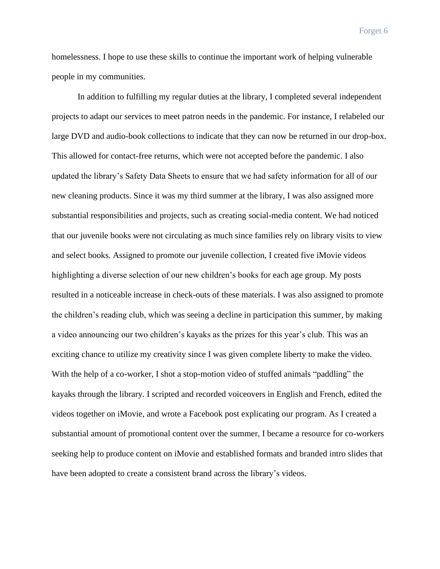homelessness. I hope to use these skills to continue the important work of helping vulnerable people in my communities.

In addition to fulfilling my regular duties at the library, I completed several independent projects to adapt our services to meet patron needs in the pandemic. For instance, I relabeled our large DVD and audio-book collections to indicate that they can now be returned in our drop-box. This allowed for contact-free returns, which were not accepted before the pandemic. I also updated the library's Safety Data Sheets to ensure that we had safety information for all of our new cleaning products. Since it was my third summer at the library, I was also assigned more substantial responsibilities and projects, such as creating social-media content. We had noticed that our juvenile books were not circulating as much since families rely on library visits to view and select books. Assigned to promote our juvenile collection, I created five iMovie videos highlighting a diverse selection of our new children's books for each age group. My posts resulted in a noticeable increase in check-outs of these materials. I was also assigned to promote the children's reading club, which was seeing a decline in participation this summer, by making a video announcing our two children's kayaks as the prizes for this year's club. This was an exciting chance to utilize my creativity since I was given complete liberty to make the video. With the help of a co-worker, I shot a stop-motion video of stuffed animals "paddling" the kayaks through the library. I scripted and recorded voiceovers in English and French, edited the videos together on iMovie, and wrote a Facebook post explicating our program. As I created a substantial amount of promotional content over the summer, I became a resource for co-workers seeking help to produce content on iMovie and established formats and branded intro slides that have been adopted to create a consistent brand across the library's videos.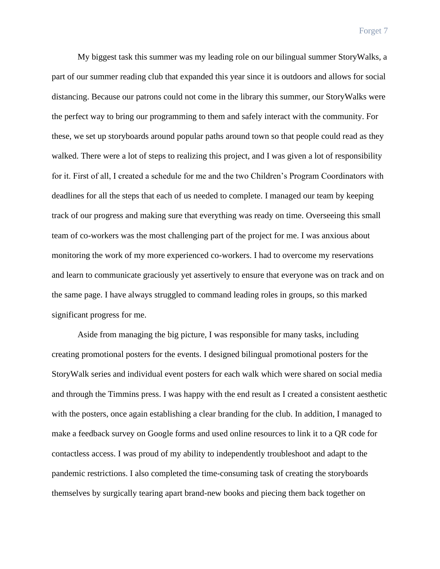My biggest task this summer was my leading role on our bilingual summer StoryWalks, a part of our summer reading club that expanded this year since it is outdoors and allows for social distancing. Because our patrons could not come in the library this summer, our StoryWalks were the perfect way to bring our programming to them and safely interact with the community. For these, we set up storyboards around popular paths around town so that people could read as they walked. There were a lot of steps to realizing this project, and I was given a lot of responsibility for it. First of all, I created a schedule for me and the two Children's Program Coordinators with deadlines for all the steps that each of us needed to complete. I managed our team by keeping track of our progress and making sure that everything was ready on time. Overseeing this small team of co-workers was the most challenging part of the project for me. I was anxious about monitoring the work of my more experienced co-workers. I had to overcome my reservations and learn to communicate graciously yet assertively to ensure that everyone was on track and on the same page. I have always struggled to command leading roles in groups, so this marked significant progress for me.

Aside from managing the big picture, I was responsible for many tasks, including creating promotional posters for the events. I designed bilingual promotional posters for the StoryWalk series and individual event posters for each walk which were shared on social media and through the Timmins press. I was happy with the end result as I created a consistent aesthetic with the posters, once again establishing a clear branding for the club. In addition, I managed to make a feedback survey on Google forms and used online resources to link it to a QR code for contactless access. I was proud of my ability to independently troubleshoot and adapt to the pandemic restrictions. I also completed the time-consuming task of creating the storyboards themselves by surgically tearing apart brand-new books and piecing them back together on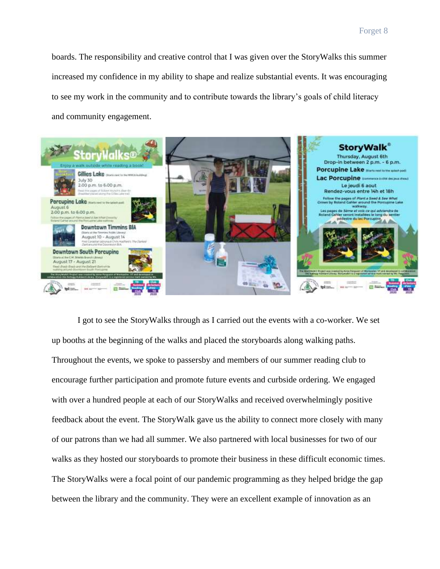boards. The responsibility and creative control that I was given over the StoryWalks this summer increased my confidence in my ability to shape and realize substantial events. It was encouraging to see my work in the community and to contribute towards the library's goals of child literacy and community engagement.



I got to see the StoryWalks through as I carried out the events with a co-worker. We set up booths at the beginning of the walks and placed the storyboards along walking paths. Throughout the events, we spoke to passersby and members of our summer reading club to encourage further participation and promote future events and curbside ordering. We engaged with over a hundred people at each of our StoryWalks and received overwhelmingly positive feedback about the event. The StoryWalk gave us the ability to connect more closely with many of our patrons than we had all summer. We also partnered with local businesses for two of our walks as they hosted our storyboards to promote their business in these difficult economic times. The StoryWalks were a focal point of our pandemic programming as they helped bridge the gap between the library and the community. They were an excellent example of innovation as an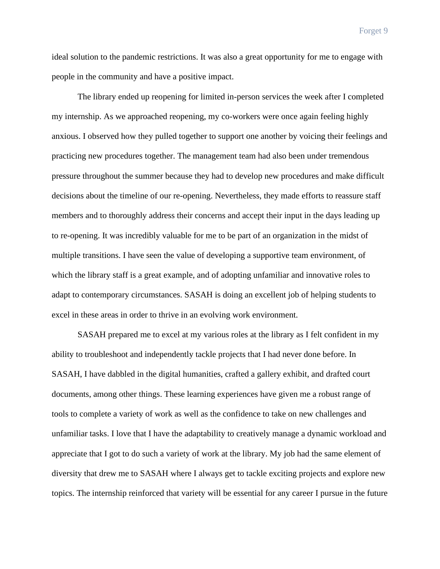ideal solution to the pandemic restrictions. It was also a great opportunity for me to engage with people in the community and have a positive impact.

The library ended up reopening for limited in-person services the week after I completed my internship. As we approached reopening, my co-workers were once again feeling highly anxious. I observed how they pulled together to support one another by voicing their feelings and practicing new procedures together. The management team had also been under tremendous pressure throughout the summer because they had to develop new procedures and make difficult decisions about the timeline of our re-opening. Nevertheless, they made efforts to reassure staff members and to thoroughly address their concerns and accept their input in the days leading up to re-opening. It was incredibly valuable for me to be part of an organization in the midst of multiple transitions. I have seen the value of developing a supportive team environment, of which the library staff is a great example, and of adopting unfamiliar and innovative roles to adapt to contemporary circumstances. SASAH is doing an excellent job of helping students to excel in these areas in order to thrive in an evolving work environment.

SASAH prepared me to excel at my various roles at the library as I felt confident in my ability to troubleshoot and independently tackle projects that I had never done before. In SASAH, I have dabbled in the digital humanities, crafted a gallery exhibit, and drafted court documents, among other things. These learning experiences have given me a robust range of tools to complete a variety of work as well as the confidence to take on new challenges and unfamiliar tasks. I love that I have the adaptability to creatively manage a dynamic workload and appreciate that I got to do such a variety of work at the library. My job had the same element of diversity that drew me to SASAH where I always get to tackle exciting projects and explore new topics. The internship reinforced that variety will be essential for any career I pursue in the future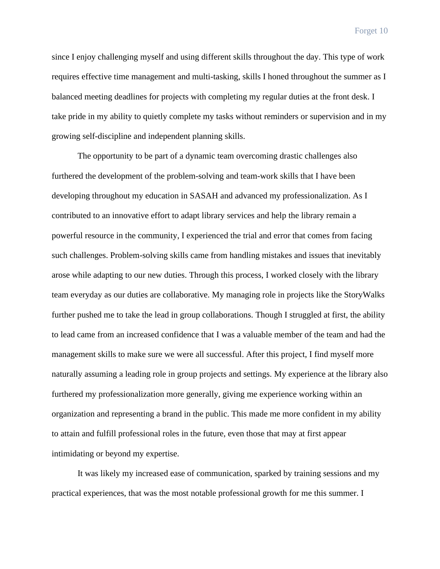since I enjoy challenging myself and using different skills throughout the day. This type of work requires effective time management and multi-tasking, skills I honed throughout the summer as I balanced meeting deadlines for projects with completing my regular duties at the front desk. I take pride in my ability to quietly complete my tasks without reminders or supervision and in my growing self-discipline and independent planning skills.

The opportunity to be part of a dynamic team overcoming drastic challenges also furthered the development of the problem-solving and team-work skills that I have been developing throughout my education in SASAH and advanced my professionalization. As I contributed to an innovative effort to adapt library services and help the library remain a powerful resource in the community, I experienced the trial and error that comes from facing such challenges. Problem-solving skills came from handling mistakes and issues that inevitably arose while adapting to our new duties. Through this process, I worked closely with the library team everyday as our duties are collaborative. My managing role in projects like the StoryWalks further pushed me to take the lead in group collaborations. Though I struggled at first, the ability to lead came from an increased confidence that I was a valuable member of the team and had the management skills to make sure we were all successful. After this project, I find myself more naturally assuming a leading role in group projects and settings. My experience at the library also furthered my professionalization more generally, giving me experience working within an organization and representing a brand in the public. This made me more confident in my ability to attain and fulfill professional roles in the future, even those that may at first appear intimidating or beyond my expertise.

It was likely my increased ease of communication, sparked by training sessions and my practical experiences, that was the most notable professional growth for me this summer. I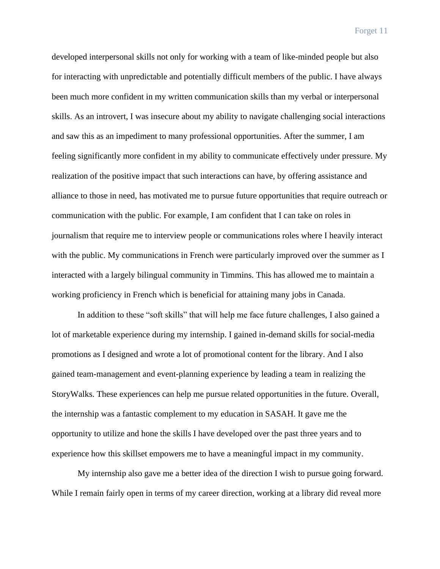developed interpersonal skills not only for working with a team of like-minded people but also for interacting with unpredictable and potentially difficult members of the public. I have always been much more confident in my written communication skills than my verbal or interpersonal skills. As an introvert, I was insecure about my ability to navigate challenging social interactions and saw this as an impediment to many professional opportunities. After the summer, I am feeling significantly more confident in my ability to communicate effectively under pressure. My realization of the positive impact that such interactions can have, by offering assistance and alliance to those in need, has motivated me to pursue future opportunities that require outreach or communication with the public. For example, I am confident that I can take on roles in journalism that require me to interview people or communications roles where I heavily interact with the public. My communications in French were particularly improved over the summer as I interacted with a largely bilingual community in Timmins. This has allowed me to maintain a working proficiency in French which is beneficial for attaining many jobs in Canada.

In addition to these "soft skills" that will help me face future challenges, I also gained a lot of marketable experience during my internship. I gained in-demand skills for social-media promotions as I designed and wrote a lot of promotional content for the library. And I also gained team-management and event-planning experience by leading a team in realizing the StoryWalks. These experiences can help me pursue related opportunities in the future. Overall, the internship was a fantastic complement to my education in SASAH. It gave me the opportunity to utilize and hone the skills I have developed over the past three years and to experience how this skillset empowers me to have a meaningful impact in my community.

My internship also gave me a better idea of the direction I wish to pursue going forward. While I remain fairly open in terms of my career direction, working at a library did reveal more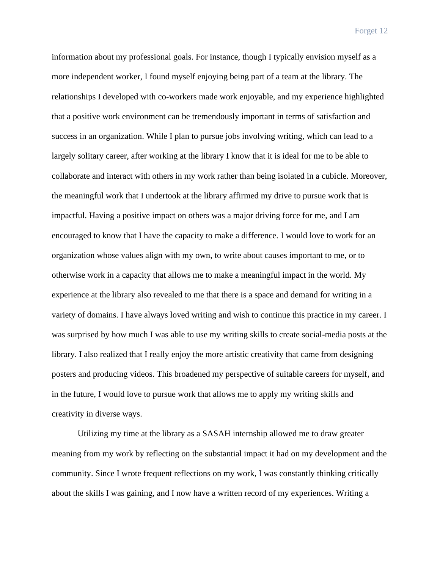information about my professional goals. For instance, though I typically envision myself as a more independent worker, I found myself enjoying being part of a team at the library. The relationships I developed with co-workers made work enjoyable, and my experience highlighted that a positive work environment can be tremendously important in terms of satisfaction and success in an organization. While I plan to pursue jobs involving writing, which can lead to a largely solitary career, after working at the library I know that it is ideal for me to be able to collaborate and interact with others in my work rather than being isolated in a cubicle. Moreover, the meaningful work that I undertook at the library affirmed my drive to pursue work that is impactful. Having a positive impact on others was a major driving force for me, and I am encouraged to know that I have the capacity to make a difference. I would love to work for an organization whose values align with my own, to write about causes important to me, or to otherwise work in a capacity that allows me to make a meaningful impact in the world. My experience at the library also revealed to me that there is a space and demand for writing in a variety of domains. I have always loved writing and wish to continue this practice in my career. I was surprised by how much I was able to use my writing skills to create social-media posts at the library. I also realized that I really enjoy the more artistic creativity that came from designing posters and producing videos. This broadened my perspective of suitable careers for myself, and in the future, I would love to pursue work that allows me to apply my writing skills and creativity in diverse ways.

Utilizing my time at the library as a SASAH internship allowed me to draw greater meaning from my work by reflecting on the substantial impact it had on my development and the community. Since I wrote frequent reflections on my work, I was constantly thinking critically about the skills I was gaining, and I now have a written record of my experiences. Writing a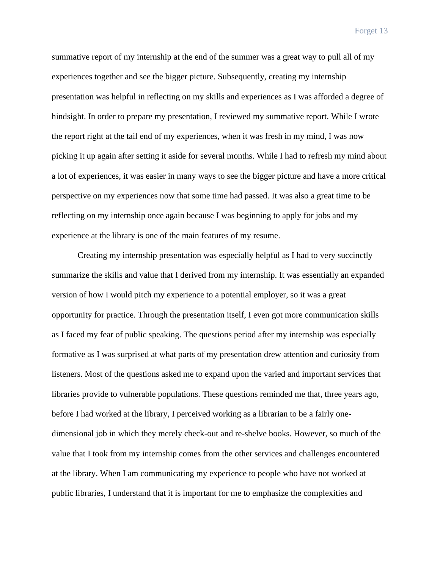summative report of my internship at the end of the summer was a great way to pull all of my experiences together and see the bigger picture. Subsequently, creating my internship presentation was helpful in reflecting on my skills and experiences as I was afforded a degree of hindsight. In order to prepare my presentation, I reviewed my summative report. While I wrote the report right at the tail end of my experiences, when it was fresh in my mind, I was now picking it up again after setting it aside for several months. While I had to refresh my mind about a lot of experiences, it was easier in many ways to see the bigger picture and have a more critical perspective on my experiences now that some time had passed. It was also a great time to be reflecting on my internship once again because I was beginning to apply for jobs and my experience at the library is one of the main features of my resume.

Creating my internship presentation was especially helpful as I had to very succinctly summarize the skills and value that I derived from my internship. It was essentially an expanded version of how I would pitch my experience to a potential employer, so it was a great opportunity for practice. Through the presentation itself, I even got more communication skills as I faced my fear of public speaking. The questions period after my internship was especially formative as I was surprised at what parts of my presentation drew attention and curiosity from listeners. Most of the questions asked me to expand upon the varied and important services that libraries provide to vulnerable populations. These questions reminded me that, three years ago, before I had worked at the library, I perceived working as a librarian to be a fairly onedimensional job in which they merely check-out and re-shelve books. However, so much of the value that I took from my internship comes from the other services and challenges encountered at the library. When I am communicating my experience to people who have not worked at public libraries, I understand that it is important for me to emphasize the complexities and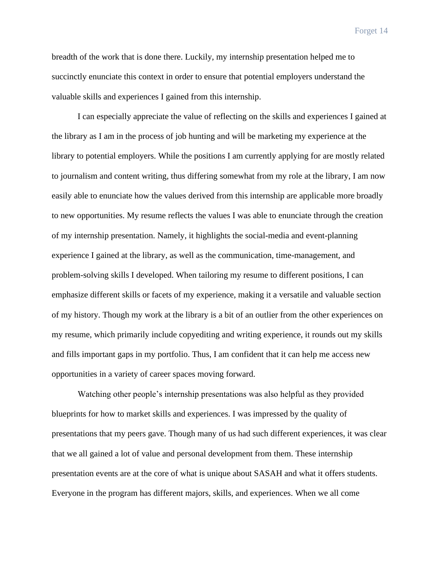breadth of the work that is done there. Luckily, my internship presentation helped me to succinctly enunciate this context in order to ensure that potential employers understand the valuable skills and experiences I gained from this internship.

I can especially appreciate the value of reflecting on the skills and experiences I gained at the library as I am in the process of job hunting and will be marketing my experience at the library to potential employers. While the positions I am currently applying for are mostly related to journalism and content writing, thus differing somewhat from my role at the library, I am now easily able to enunciate how the values derived from this internship are applicable more broadly to new opportunities. My resume reflects the values I was able to enunciate through the creation of my internship presentation. Namely, it highlights the social-media and event-planning experience I gained at the library, as well as the communication, time-management, and problem-solving skills I developed. When tailoring my resume to different positions, I can emphasize different skills or facets of my experience, making it a versatile and valuable section of my history. Though my work at the library is a bit of an outlier from the other experiences on my resume, which primarily include copyediting and writing experience, it rounds out my skills and fills important gaps in my portfolio. Thus, I am confident that it can help me access new opportunities in a variety of career spaces moving forward.

Watching other people's internship presentations was also helpful as they provided blueprints for how to market skills and experiences. I was impressed by the quality of presentations that my peers gave. Though many of us had such different experiences, it was clear that we all gained a lot of value and personal development from them. These internship presentation events are at the core of what is unique about SASAH and what it offers students. Everyone in the program has different majors, skills, and experiences. When we all come